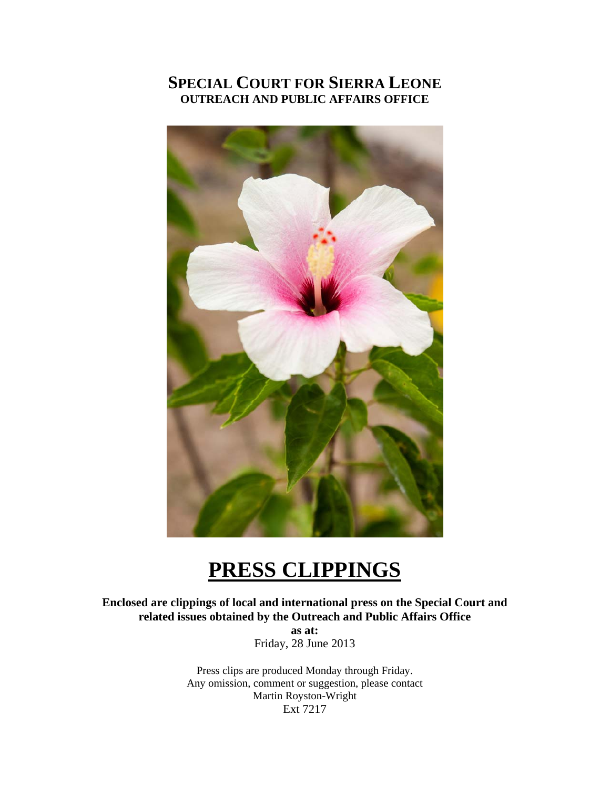# **SPECIAL COURT FOR SIERRA LEONE OUTREACH AND PUBLIC AFFAIRS OFFICE**



# **PRESS CLIPPINGS**

**Enclosed are clippings of local and international press on the Special Court and related issues obtained by the Outreach and Public Affairs Office** 

> **as at:**  Friday, 28 June 2013

Press clips are produced Monday through Friday. Any omission, comment or suggestion, please contact Martin Royston-Wright Ext 7217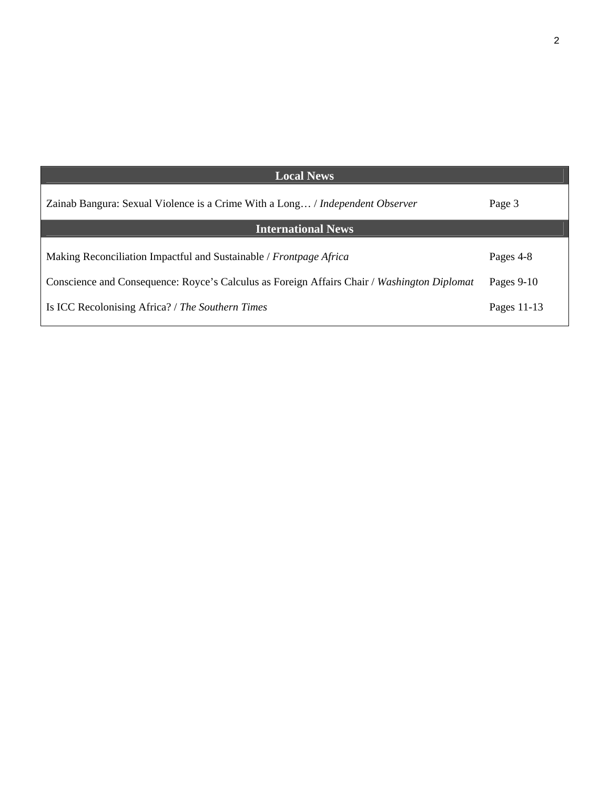| <b>Local News</b>                                                                           |              |
|---------------------------------------------------------------------------------------------|--------------|
| Zainab Bangura: Sexual Violence is a Crime With a Long / Independent Observer               | Page 3       |
| <b>International News</b>                                                                   |              |
| Making Reconciliation Impactful and Sustainable / Frontpage Africa                          | Pages 4-8    |
| Conscience and Consequence: Royce's Calculus as Foreign Affairs Chair / Washington Diplomat | Pages $9-10$ |
| Is ICC Recolonising Africa? / The Southern Times                                            | Pages 11-13  |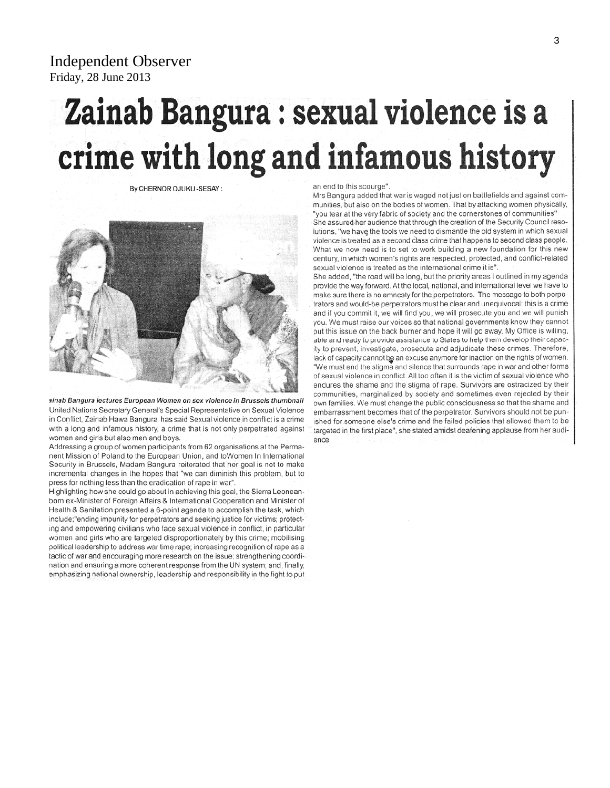Independent Observer Friday, 28 June 2013

# Zainab Bangura : sexual violence is a crime with long and infamous history

By CHERNOR OJUKU -SESAY:



ainab Bangura lectures European Women on sex violence in Brussels thumbnail United Nations Secretary General's Special Representative on Sexual Violence in Conflict, Zainab Hawa Bangura has said Sexual violence in conflict is a crime with a long and infamous history, a crime that is not only perpetrated against women and girls but also men and boys.

Addressing a group of women participants from 62 organisations at the Permanent Mission of Poland to the European Union, and toWomen In International Security in Brussels, Madam Bangura reiterated that her goal is not to make incremental changes in the hopes that "we can diminish this problem, but to press for nothing less than the eradication of rape in war".

Highlighting how she could go about in achieving this goal, the Sierra Leoneanborn ex-Minister of Foreign Affairs & International Cooperation and Minister of Health & Sanitation presented a 6-point agenda to accomplish the task, which include;"ending impunity for perpetrators and seeking justice for victims; protecting and empowering civilians who face sexual violence in conflict, in particular women and girls who are targeted disproportionately by this crime; mobilising political leadership to address war time rape; increasing recognition of rape as a tactic of war and encouraging more research on the issue; strengthening coordination and ensuring a more coherent response from the UN system; and, finally, emphasizing national ownership, leadership and responsibility in the fight to put

#### an end to this scourge".

Mrs Bangura added that war is waged not just on battlefields and against communities, but also on the bodies of women. That by attacking women physically, "you tear at the very fabric of society and the cornerstones of communities" She assured her audience that through the creation of the Security Council resolutions, "we have the tools we need to dismantle the old system in which sexual violence is treated as a second class crime that happens to second class people. What we now need is to set to work building a new foundation for this new century, in which women's rights are respected, protected, and conflict-related sexual violence is treated as the international crime it is".

She added, "the road will be long, but the priority areas I outlined in my agenda provide the way forward. At the local, national, and international level we have to make sure there is no amnesty for the perpetrators. The message to both perpetrators and would-be perpetrators must be clear and unequivocal: this is a crime and if you commit it, we will find you, we will prosecute you and we will punish you. We must raise our voices so that national governments know they cannot put this issue on the back burner and hope it will go away. My Office is willing, able and ready to provide assistance to States to help them develop their capacity to prevent, investigate, prosecute and adjudicate these crimes. Therefore, lack of capacity cannot be an excuse anymore for inaction on the rights of women. "We must end the stigma and silence that surrounds rape in war and other forms of sexual violence in conflict. All too often it is the victim of sexual violence who endures the shame and the stigma of rape. Survivors are ostracized by their communities, marginalized by society and sometimes even rejected by their own families. We must change the public consciousness so that the shame and embarrassment becomes that of the perpetrator. Survivors should not be punished for someone else's crime and the failed policies that allowed them to be targeted in the first place", she stated amidst deafening applause from her audience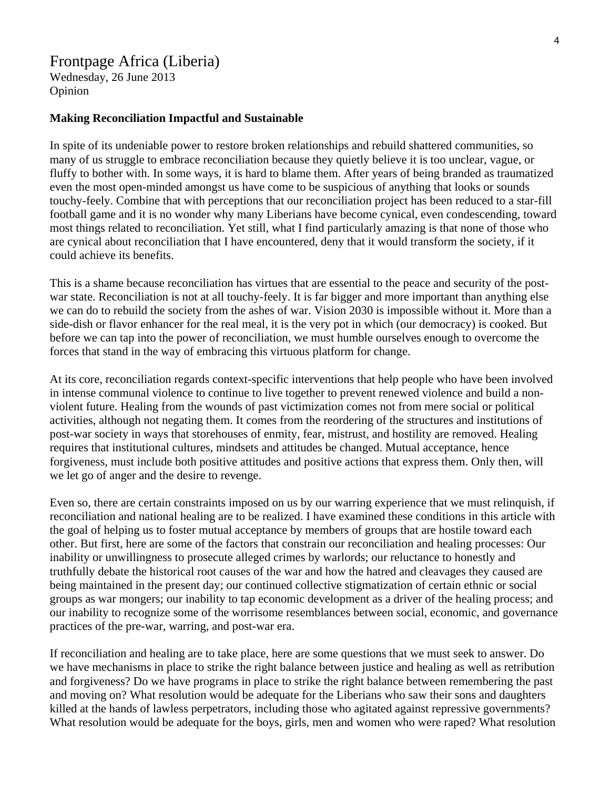## Frontpage Africa (Liberia)

Wednesday, 26 June 2013 Opinion

#### **Making Reconciliation Impactful and Sustainable**

In spite of its undeniable power to restore broken relationships and rebuild shattered communities, so many of us struggle to embrace reconciliation because they quietly believe it is too unclear, vague, or fluffy to bother with. In some ways, it is hard to blame them. After years of being branded as traumatized even the most open-minded amongst us have come to be suspicious of anything that looks or sounds touchy-feely. Combine that with perceptions that our reconciliation project has been reduced to a star-fill football game and it is no wonder why many Liberians have become cynical, even condescending, toward most things related to reconciliation. Yet still, what I find particularly amazing is that none of those who are cynical about reconciliation that I have encountered, deny that it would transform the society, if it could achieve its benefits.

This is a shame because reconciliation has virtues that are essential to the peace and security of the postwar state. Reconciliation is not at all touchy-feely. It is far bigger and more important than anything else we can do to rebuild the society from the ashes of war. Vision 2030 is impossible without it. More than a side-dish or flavor enhancer for the real meal, it is the very pot in which (our democracy) is cooked. But before we can tap into the power of reconciliation, we must humble ourselves enough to overcome the forces that stand in the way of embracing this virtuous platform for change.

At its core, reconciliation regards context-specific interventions that help people who have been involved in intense communal violence to continue to live together to prevent renewed violence and build a nonviolent future. Healing from the wounds of past victimization comes not from mere social or political activities, although not negating them. It comes from the reordering of the structures and institutions of post-war society in ways that storehouses of enmity, fear, mistrust, and hostility are removed. Healing requires that institutional cultures, mindsets and attitudes be changed. Mutual acceptance, hence forgiveness, must include both positive attitudes and positive actions that express them. Only then, will we let go of anger and the desire to revenge.

Even so, there are certain constraints imposed on us by our warring experience that we must relinquish, if reconciliation and national healing are to be realized. I have examined these conditions in this article with the goal of helping us to foster mutual acceptance by members of groups that are hostile toward each other. But first, here are some of the factors that constrain our reconciliation and healing processes: Our inability or unwillingness to prosecute alleged crimes by warlords; our reluctance to honestly and truthfully debate the historical root causes of the war and how the hatred and cleavages they caused are being maintained in the present day; our continued collective stigmatization of certain ethnic or social groups as war mongers; our inability to tap economic development as a driver of the healing process; and our inability to recognize some of the worrisome resemblances between social, economic, and governance practices of the pre-war, warring, and post-war era.

If reconciliation and healing are to take place, here are some questions that we must seek to answer. Do we have mechanisms in place to strike the right balance between justice and healing as well as retribution and forgiveness? Do we have programs in place to strike the right balance between remembering the past and moving on? What resolution would be adequate for the Liberians who saw their sons and daughters killed at the hands of lawless perpetrators, including those who agitated against repressive governments? What resolution would be adequate for the boys, girls, men and women who were raped? What resolution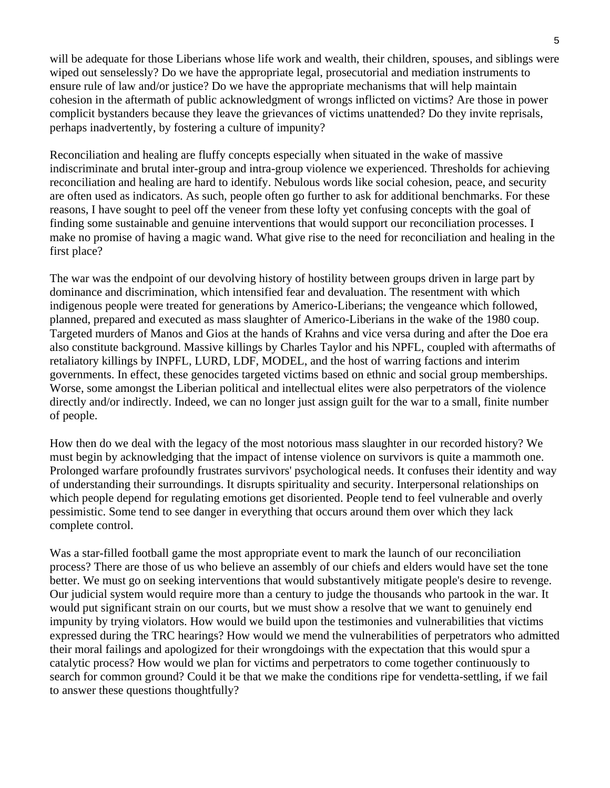will be adequate for those Liberians whose life work and wealth, their children, spouses, and siblings were wiped out senselessly? Do we have the appropriate legal, prosecutorial and mediation instruments to ensure rule of law and/or justice? Do we have the appropriate mechanisms that will help maintain cohesion in the aftermath of public acknowledgment of wrongs inflicted on victims? Are those in power complicit bystanders because they leave the grievances of victims unattended? Do they invite reprisals, perhaps inadvertently, by fostering a culture of impunity?

Reconciliation and healing are fluffy concepts especially when situated in the wake of massive indiscriminate and brutal inter-group and intra-group violence we experienced. Thresholds for achieving reconciliation and healing are hard to identify. Nebulous words like social cohesion, peace, and security are often used as indicators. As such, people often go further to ask for additional benchmarks. For these reasons, I have sought to peel off the veneer from these lofty yet confusing concepts with the goal of finding some sustainable and genuine interventions that would support our reconciliation processes. I make no promise of having a magic wand. What give rise to the need for reconciliation and healing in the first place?

The war was the endpoint of our devolving history of hostility between groups driven in large part by dominance and discrimination, which intensified fear and devaluation. The resentment with which indigenous people were treated for generations by Americo-Liberians; the vengeance which followed, planned, prepared and executed as mass slaughter of Americo-Liberians in the wake of the 1980 coup. Targeted murders of Manos and Gios at the hands of Krahns and vice versa during and after the Doe era also constitute background. Massive killings by Charles Taylor and his NPFL, coupled with aftermaths of retaliatory killings by INPFL, LURD, LDF, MODEL, and the host of warring factions and interim governments. In effect, these genocides targeted victims based on ethnic and social group memberships. Worse, some amongst the Liberian political and intellectual elites were also perpetrators of the violence directly and/or indirectly. Indeed, we can no longer just assign guilt for the war to a small, finite number of people.

How then do we deal with the legacy of the most notorious mass slaughter in our recorded history? We must begin by acknowledging that the impact of intense violence on survivors is quite a mammoth one. Prolonged warfare profoundly frustrates survivors' psychological needs. It confuses their identity and way of understanding their surroundings. It disrupts spirituality and security. Interpersonal relationships on which people depend for regulating emotions get disoriented. People tend to feel vulnerable and overly pessimistic. Some tend to see danger in everything that occurs around them over which they lack complete control.

Was a star-filled football game the most appropriate event to mark the launch of our reconciliation process? There are those of us who believe an assembly of our chiefs and elders would have set the tone better. We must go on seeking interventions that would substantively mitigate people's desire to revenge. Our judicial system would require more than a century to judge the thousands who partook in the war. It would put significant strain on our courts, but we must show a resolve that we want to genuinely end impunity by trying violators. How would we build upon the testimonies and vulnerabilities that victims expressed during the TRC hearings? How would we mend the vulnerabilities of perpetrators who admitted their moral failings and apologized for their wrongdoings with the expectation that this would spur a catalytic process? How would we plan for victims and perpetrators to come together continuously to search for common ground? Could it be that we make the conditions ripe for vendetta-settling, if we fail to answer these questions thoughtfully?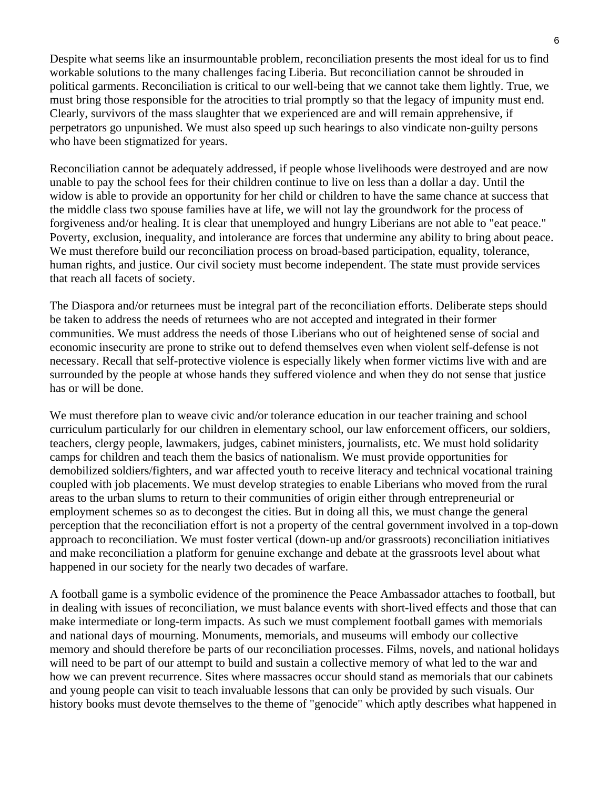Despite what seems like an insurmountable problem, reconciliation presents the most ideal for us to find workable solutions to the many challenges facing Liberia. But reconciliation cannot be shrouded in political garments. Reconciliation is critical to our well-being that we cannot take them lightly. True, we must bring those responsible for the atrocities to trial promptly so that the legacy of impunity must end. Clearly, survivors of the mass slaughter that we experienced are and will remain apprehensive, if perpetrators go unpunished. We must also speed up such hearings to also vindicate non-guilty persons who have been stigmatized for years.

Reconciliation cannot be adequately addressed, if people whose livelihoods were destroyed and are now unable to pay the school fees for their children continue to live on less than a dollar a day. Until the widow is able to provide an opportunity for her child or children to have the same chance at success that the middle class two spouse families have at life, we will not lay the groundwork for the process of forgiveness and/or healing. It is clear that unemployed and hungry Liberians are not able to "eat peace." Poverty, exclusion, inequality, and intolerance are forces that undermine any ability to bring about peace. We must therefore build our reconciliation process on broad-based participation, equality, tolerance, human rights, and justice. Our civil society must become independent. The state must provide services that reach all facets of society.

The Diaspora and/or returnees must be integral part of the reconciliation efforts. Deliberate steps should be taken to address the needs of returnees who are not accepted and integrated in their former communities. We must address the needs of those Liberians who out of heightened sense of social and economic insecurity are prone to strike out to defend themselves even when violent self-defense is not necessary. Recall that self-protective violence is especially likely when former victims live with and are surrounded by the people at whose hands they suffered violence and when they do not sense that justice has or will be done.

We must therefore plan to weave civic and/or tolerance education in our teacher training and school curriculum particularly for our children in elementary school, our law enforcement officers, our soldiers, teachers, clergy people, lawmakers, judges, cabinet ministers, journalists, etc. We must hold solidarity camps for children and teach them the basics of nationalism. We must provide opportunities for demobilized soldiers/fighters, and war affected youth to receive literacy and technical vocational training coupled with job placements. We must develop strategies to enable Liberians who moved from the rural areas to the urban slums to return to their communities of origin either through entrepreneurial or employment schemes so as to decongest the cities. But in doing all this, we must change the general perception that the reconciliation effort is not a property of the central government involved in a top-down approach to reconciliation. We must foster vertical (down-up and/or grassroots) reconciliation initiatives and make reconciliation a platform for genuine exchange and debate at the grassroots level about what happened in our society for the nearly two decades of warfare.

A football game is a symbolic evidence of the prominence the Peace Ambassador attaches to football, but in dealing with issues of reconciliation, we must balance events with short-lived effects and those that can make intermediate or long-term impacts. As such we must complement football games with memorials and national days of mourning. Monuments, memorials, and museums will embody our collective memory and should therefore be parts of our reconciliation processes. Films, novels, and national holidays will need to be part of our attempt to build and sustain a collective memory of what led to the war and how we can prevent recurrence. Sites where massacres occur should stand as memorials that our cabinets and young people can visit to teach invaluable lessons that can only be provided by such visuals. Our history books must devote themselves to the theme of "genocide" which aptly describes what happened in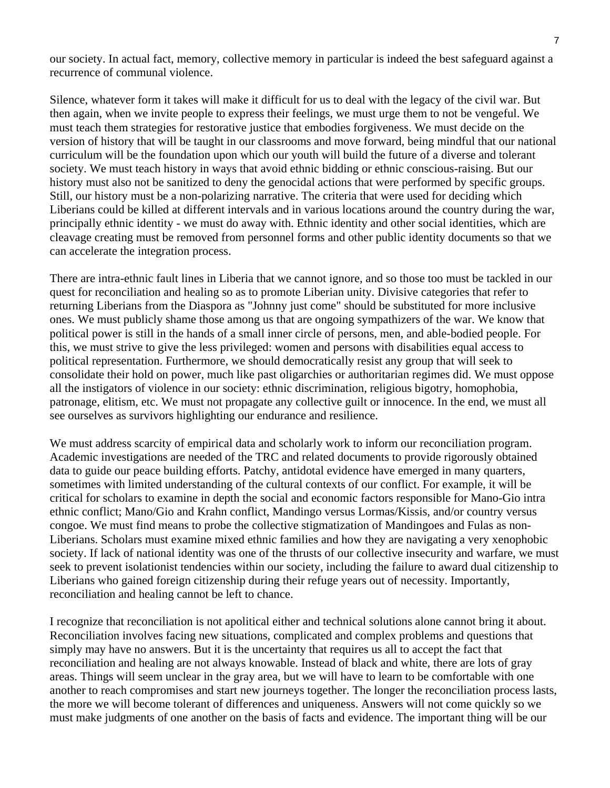our society. In actual fact, memory, collective memory in particular is indeed the best safeguard against a recurrence of communal violence.

Silence, whatever form it takes will make it difficult for us to deal with the legacy of the civil war. But then again, when we invite people to express their feelings, we must urge them to not be vengeful. We must teach them strategies for restorative justice that embodies forgiveness. We must decide on the version of history that will be taught in our classrooms and move forward, being mindful that our national curriculum will be the foundation upon which our youth will build the future of a diverse and tolerant society. We must teach history in ways that avoid ethnic bidding or ethnic conscious-raising. But our history must also not be sanitized to deny the genocidal actions that were performed by specific groups. Still, our history must be a non-polarizing narrative. The criteria that were used for deciding which Liberians could be killed at different intervals and in various locations around the country during the war, principally ethnic identity - we must do away with. Ethnic identity and other social identities, which are cleavage creating must be removed from personnel forms and other public identity documents so that we can accelerate the integration process.

There are intra-ethnic fault lines in Liberia that we cannot ignore, and so those too must be tackled in our quest for reconciliation and healing so as to promote Liberian unity. Divisive categories that refer to returning Liberians from the Diaspora as "Johnny just come" should be substituted for more inclusive ones. We must publicly shame those among us that are ongoing sympathizers of the war. We know that political power is still in the hands of a small inner circle of persons, men, and able-bodied people. For this, we must strive to give the less privileged: women and persons with disabilities equal access to political representation. Furthermore, we should democratically resist any group that will seek to consolidate their hold on power, much like past oligarchies or authoritarian regimes did. We must oppose all the instigators of violence in our society: ethnic discrimination, religious bigotry, homophobia, patronage, elitism, etc. We must not propagate any collective guilt or innocence. In the end, we must all see ourselves as survivors highlighting our endurance and resilience.

We must address scarcity of empirical data and scholarly work to inform our reconciliation program. Academic investigations are needed of the TRC and related documents to provide rigorously obtained data to guide our peace building efforts. Patchy, antidotal evidence have emerged in many quarters, sometimes with limited understanding of the cultural contexts of our conflict. For example, it will be critical for scholars to examine in depth the social and economic factors responsible for Mano-Gio intra ethnic conflict; Mano/Gio and Krahn conflict, Mandingo versus Lormas/Kissis, and/or country versus congoe. We must find means to probe the collective stigmatization of Mandingoes and Fulas as non-Liberians. Scholars must examine mixed ethnic families and how they are navigating a very xenophobic society. If lack of national identity was one of the thrusts of our collective insecurity and warfare, we must seek to prevent isolationist tendencies within our society, including the failure to award dual citizenship to Liberians who gained foreign citizenship during their refuge years out of necessity. Importantly, reconciliation and healing cannot be left to chance.

I recognize that reconciliation is not apolitical either and technical solutions alone cannot bring it about. Reconciliation involves facing new situations, complicated and complex problems and questions that simply may have no answers. But it is the uncertainty that requires us all to accept the fact that reconciliation and healing are not always knowable. Instead of black and white, there are lots of gray areas. Things will seem unclear in the gray area, but we will have to learn to be comfortable with one another to reach compromises and start new journeys together. The longer the reconciliation process lasts, the more we will become tolerant of differences and uniqueness. Answers will not come quickly so we must make judgments of one another on the basis of facts and evidence. The important thing will be our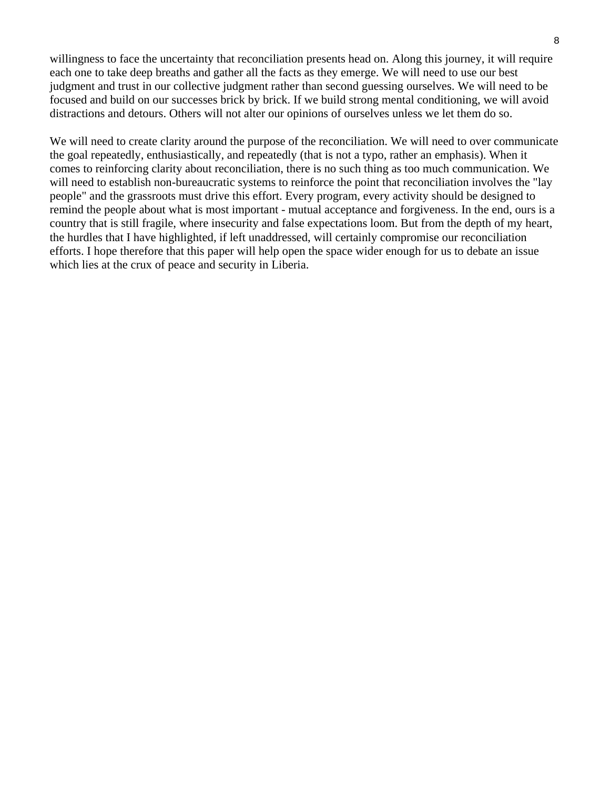willingness to face the uncertainty that reconciliation presents head on. Along this journey, it will require each one to take deep breaths and gather all the facts as they emerge. We will need to use our best judgment and trust in our collective judgment rather than second guessing ourselves. We will need to be focused and build on our successes brick by brick. If we build strong mental conditioning, we will avoid distractions and detours. Others will not alter our opinions of ourselves unless we let them do so.

We will need to create clarity around the purpose of the reconciliation. We will need to over communicate the goal repeatedly, enthusiastically, and repeatedly (that is not a typo, rather an emphasis). When it comes to reinforcing clarity about reconciliation, there is no such thing as too much communication. We will need to establish non-bureaucratic systems to reinforce the point that reconciliation involves the "lay people" and the grassroots must drive this effort. Every program, every activity should be designed to remind the people about what is most important - mutual acceptance and forgiveness. In the end, ours is a country that is still fragile, where insecurity and false expectations loom. But from the depth of my heart, the hurdles that I have highlighted, if left unaddressed, will certainly compromise our reconciliation efforts. I hope therefore that this paper will help open the space wider enough for us to debate an issue which lies at the crux of peace and security in Liberia.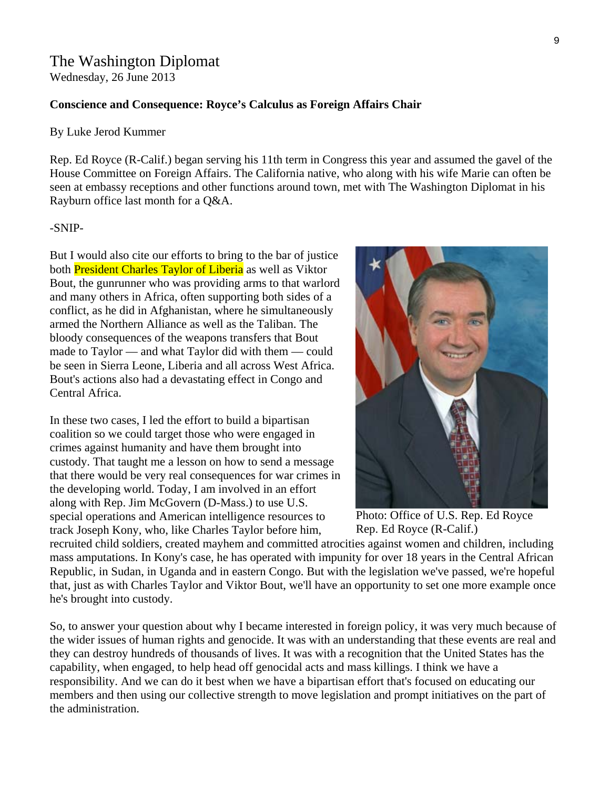# The Washington Diplomat

Wednesday, 26 June 2013

#### **Conscience and Consequence: Royce's Calculus as Foreign Affairs Chair**

#### By Luke Jerod Kummer

Rep. Ed Royce (R-Calif.) began serving his 11th term in Congress this year and assumed the gavel of the House Committee on Foreign Affairs. The California native, who along with his wife Marie can often be seen at embassy receptions and other functions around town, met with The Washington Diplomat in his Rayburn office last month for a Q&A.

#### -SNIP-

But I would also cite our efforts to bring to the bar of justice both **President Charles Taylor of Liberia** as well as Viktor Bout, the gunrunner who was providing arms to that warlord and many others in Africa, often supporting both sides of a conflict, as he did in Afghanistan, where he simultaneously armed the Northern Alliance as well as the Taliban. The bloody consequences of the weapons transfers that Bout made to Taylor — and what Taylor did with them — could be seen in Sierra Leone, Liberia and all across West Africa. Bout's actions also had a devastating effect in Congo and Central Africa.

In these two cases, I led the effort to build a bipartisan coalition so we could target those who were engaged in crimes against humanity and have them brought into custody. That taught me a lesson on how to send a message that there would be very real consequences for war crimes in the developing world. Today, I am involved in an effort along with Rep. Jim McGovern (D-Mass.) to use U.S. special operations and American intelligence resources to track Joseph Kony, who, like Charles Taylor before him,



Photo: Office of U.S. Rep. Ed Royce Rep. Ed Royce (R-Calif.)

recruited child soldiers, created mayhem and committed atrocities against women and children, including mass amputations. In Kony's case, he has operated with impunity for over 18 years in the Central African Republic, in Sudan, in Uganda and in eastern Congo. But with the legislation we've passed, we're hopeful that, just as with Charles Taylor and Viktor Bout, we'll have an opportunity to set one more example once he's brought into custody.

So, to answer your question about why I became interested in foreign policy, it was very much because of the wider issues of human rights and genocide. It was with an understanding that these events are real and they can destroy hundreds of thousands of lives. It was with a recognition that the United States has the capability, when engaged, to help head off genocidal acts and mass killings. I think we have a responsibility. And we can do it best when we have a bipartisan effort that's focused on educating our members and then using our collective strength to move legislation and prompt initiatives on the part of the administration.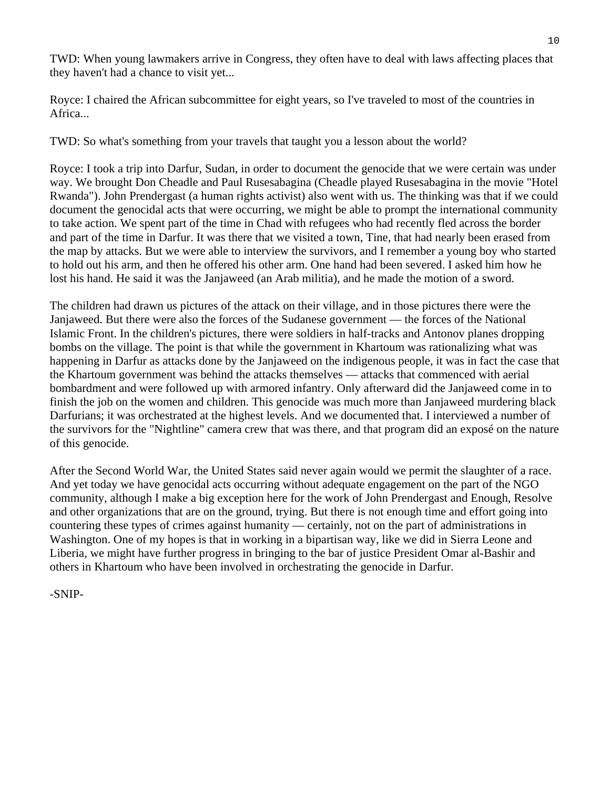TWD: When young lawmakers arrive in Congress, they often have to deal with laws affecting places that they haven't had a chance to visit yet...

Royce: I chaired the African subcommittee for eight years, so I've traveled to most of the countries in Africa...

TWD: So what's something from your travels that taught you a lesson about the world?

Royce: I took a trip into Darfur, Sudan, in order to document the genocide that we were certain was under way. We brought Don Cheadle and Paul Rusesabagina (Cheadle played Rusesabagina in the movie "Hotel Rwanda"). John Prendergast (a human rights activist) also went with us. The thinking was that if we could document the genocidal acts that were occurring, we might be able to prompt the international community to take action. We spent part of the time in Chad with refugees who had recently fled across the border and part of the time in Darfur. It was there that we visited a town, Tine, that had nearly been erased from the map by attacks. But we were able to interview the survivors, and I remember a young boy who started to hold out his arm, and then he offered his other arm. One hand had been severed. I asked him how he lost his hand. He said it was the Janjaweed (an Arab militia), and he made the motion of a sword.

The children had drawn us pictures of the attack on their village, and in those pictures there were the Janjaweed. But there were also the forces of the Sudanese government — the forces of the National Islamic Front. In the children's pictures, there were soldiers in half-tracks and Antonov planes dropping bombs on the village. The point is that while the government in Khartoum was rationalizing what was happening in Darfur as attacks done by the Janjaweed on the indigenous people, it was in fact the case that the Khartoum government was behind the attacks themselves — attacks that commenced with aerial bombardment and were followed up with armored infantry. Only afterward did the Janjaweed come in to finish the job on the women and children. This genocide was much more than Janjaweed murdering black Darfurians; it was orchestrated at the highest levels. And we documented that. I interviewed a number of the survivors for the "Nightline" camera crew that was there, and that program did an exposé on the nature of this genocide.

After the Second World War, the United States said never again would we permit the slaughter of a race. And yet today we have genocidal acts occurring without adequate engagement on the part of the NGO community, although I make a big exception here for the work of John Prendergast and Enough, Resolve and other organizations that are on the ground, trying. But there is not enough time and effort going into countering these types of crimes against humanity — certainly, not on the part of administrations in Washington. One of my hopes is that in working in a bipartisan way, like we did in Sierra Leone and Liberia, we might have further progress in bringing to the bar of justice President Omar al-Bashir and others in Khartoum who have been involved in orchestrating the genocide in Darfur.

-SNIP-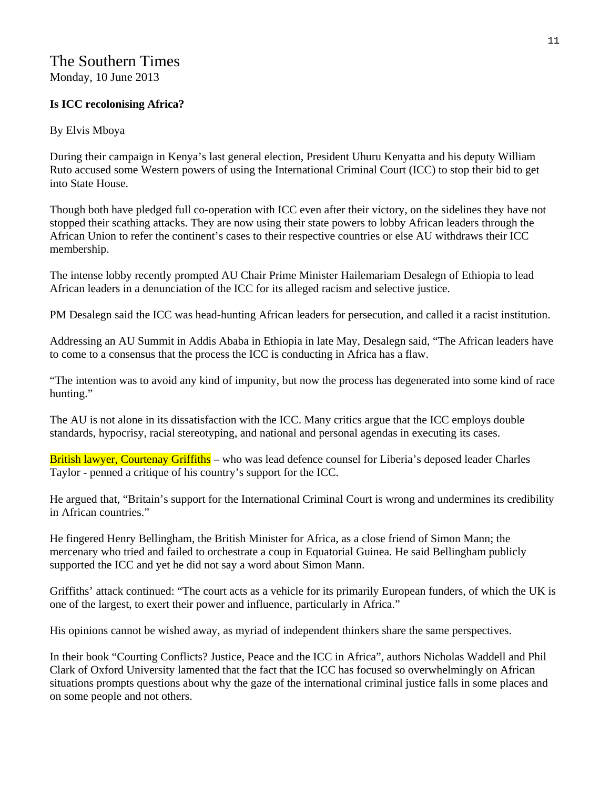## The Southern Times Monday, 10 June 2013

#### **Is ICC recolonising Africa?**

#### By Elvis Mboya

During their campaign in Kenya's last general election, President Uhuru Kenyatta and his deputy William Ruto accused some Western powers of using the International Criminal Court (ICC) to stop their bid to get into State House.

Though both have pledged full co-operation with ICC even after their victory, on the sidelines they have not stopped their scathing attacks. They are now using their state powers to lobby African leaders through the African Union to refer the continent's cases to their respective countries or else AU withdraws their ICC membership.

The intense lobby recently prompted AU Chair Prime Minister Hailemariam Desalegn of Ethiopia to lead African leaders in a denunciation of the ICC for its alleged racism and selective justice.

PM Desalegn said the ICC was head-hunting African leaders for persecution, and called it a racist institution.

Addressing an AU Summit in Addis Ababa in Ethiopia in late May, Desalegn said, "The African leaders have to come to a consensus that the process the ICC is conducting in Africa has a flaw.

"The intention was to avoid any kind of impunity, but now the process has degenerated into some kind of race hunting."

The AU is not alone in its dissatisfaction with the ICC. Many critics argue that the ICC employs double standards, hypocrisy, racial stereotyping, and national and personal agendas in executing its cases.

British lawyer, Courtenay Griffiths – who was lead defence counsel for Liberia's deposed leader Charles Taylor - penned a critique of his country's support for the ICC.

He argued that, "Britain's support for the International Criminal Court is wrong and undermines its credibility in African countries."

He fingered Henry Bellingham, the British Minister for Africa, as a close friend of Simon Mann; the mercenary who tried and failed to orchestrate a coup in Equatorial Guinea. He said Bellingham publicly supported the ICC and yet he did not say a word about Simon Mann.

Griffiths' attack continued: "The court acts as a vehicle for its primarily European funders, of which the UK is one of the largest, to exert their power and influence, particularly in Africa."

His opinions cannot be wished away, as myriad of independent thinkers share the same perspectives.

In their book "Courting Conflicts? Justice, Peace and the ICC in Africa", authors Nicholas Waddell and Phil Clark of Oxford University lamented that the fact that the ICC has focused so overwhelmingly on African situations prompts questions about why the gaze of the international criminal justice falls in some places and on some people and not others.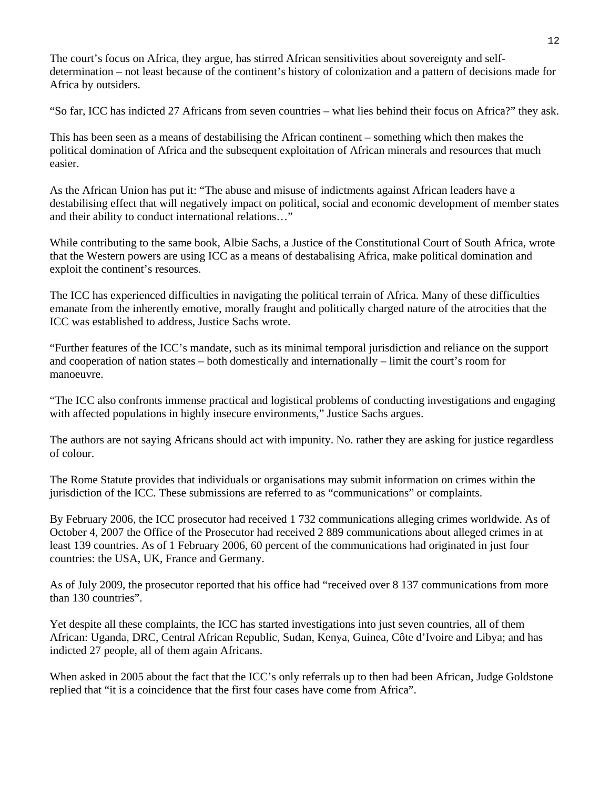The court's focus on Africa, they argue, has stirred African sensitivities about sovereignty and selfdetermination – not least because of the continent's history of colonization and a pattern of decisions made for Africa by outsiders.

"So far, ICC has indicted 27 Africans from seven countries – what lies behind their focus on Africa?" they ask.

This has been seen as a means of destabilising the African continent – something which then makes the political domination of Africa and the subsequent exploitation of African minerals and resources that much easier.

As the African Union has put it: "The abuse and misuse of indictments against African leaders have a destabilising effect that will negatively impact on political, social and economic development of member states and their ability to conduct international relations…"

While contributing to the same book, Albie Sachs, a Justice of the Constitutional Court of South Africa, wrote that the Western powers are using ICC as a means of destabalising Africa, make political domination and exploit the continent's resources.

The ICC has experienced difficulties in navigating the political terrain of Africa. Many of these difficulties emanate from the inherently emotive, morally fraught and politically charged nature of the atrocities that the ICC was established to address, Justice Sachs wrote.

"Further features of the ICC's mandate, such as its minimal temporal jurisdiction and reliance on the support and cooperation of nation states – both domestically and internationally – limit the court's room for manoeuvre.

"The ICC also confronts immense practical and logistical problems of conducting investigations and engaging with affected populations in highly insecure environments," Justice Sachs argues.

The authors are not saying Africans should act with impunity. No. rather they are asking for justice regardless of colour.

The Rome Statute provides that individuals or organisations may submit information on crimes within the jurisdiction of the ICC. These submissions are referred to as "communications" or complaints.

By February 2006, the ICC prosecutor had received 1 732 communications alleging crimes worldwide. As of October 4, 2007 the Office of the Prosecutor had received 2 889 communications about alleged crimes in at least 139 countries. As of 1 February 2006, 60 percent of the communications had originated in just four countries: the USA, UK, France and Germany.

As of July 2009, the prosecutor reported that his office had "received over 8 137 communications from more than 130 countries".

Yet despite all these complaints, the ICC has started investigations into just seven countries, all of them African: Uganda, DRC, Central African Republic, Sudan, Kenya, Guinea, Côte d'Ivoire and Libya; and has indicted 27 people, all of them again Africans.

When asked in 2005 about the fact that the ICC's only referrals up to then had been African, Judge Goldstone replied that "it is a coincidence that the first four cases have come from Africa".